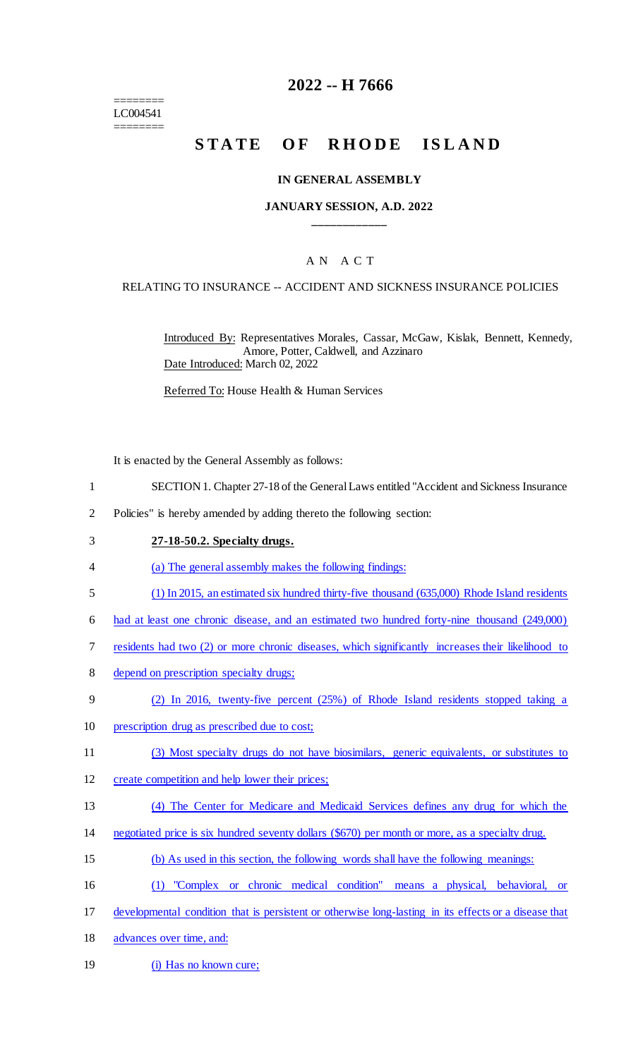======== LC004541 ========

# **2022 -- H 7666**

# STATE OF RHODE ISLAND

#### **IN GENERAL ASSEMBLY**

#### **JANUARY SESSION, A.D. 2022 \_\_\_\_\_\_\_\_\_\_\_\_**

### A N A C T

#### RELATING TO INSURANCE -- ACCIDENT AND SICKNESS INSURANCE POLICIES

Introduced By: Representatives Morales, Cassar, McGaw, Kislak, Bennett, Kennedy, Amore, Potter, Caldwell, and Azzinaro Date Introduced: March 02, 2022

Referred To: House Health & Human Services

It is enacted by the General Assembly as follows:

- 1 SECTION 1. Chapter 27-18 of the General Laws entitled "Accident and Sickness Insurance
- 2 Policies" is hereby amended by adding thereto the following section:

#### 3 **27-18-50.2. Specialty drugs.**

- 4 (a) The general assembly makes the following findings:
- 5 (1) In 2015, an estimated six hundred thirty-five thousand (635,000) Rhode Island residents
- 6 had at least one chronic disease, and an estimated two hundred forty-nine thousand (249,000)
- 7 residents had two (2) or more chronic diseases, which significantly increases their likelihood to
- 8 depend on prescription specialty drugs;
- 9 (2) In 2016, twenty-five percent (25%) of Rhode Island residents stopped taking a
- 10 prescription drug as prescribed due to cost;
- 11 (3) Most specialty drugs do not have biosimilars, generic equivalents, or substitutes to
- 12 create competition and help lower their prices;
- 13 (4) The Center for Medicare and Medicaid Services defines any drug for which the
- 14 negotiated price is six hundred seventy dollars (\$670) per month or more, as a specialty drug.
- 15 (b) As used in this section, the following words shall have the following meanings:
- 16 (1) "Complex or chronic medical condition" means a physical, behavioral, or
- 17 developmental condition that is persistent or otherwise long-lasting in its effects or a disease that
- 18 advances over time, and:
- 19 (i) Has no known cure;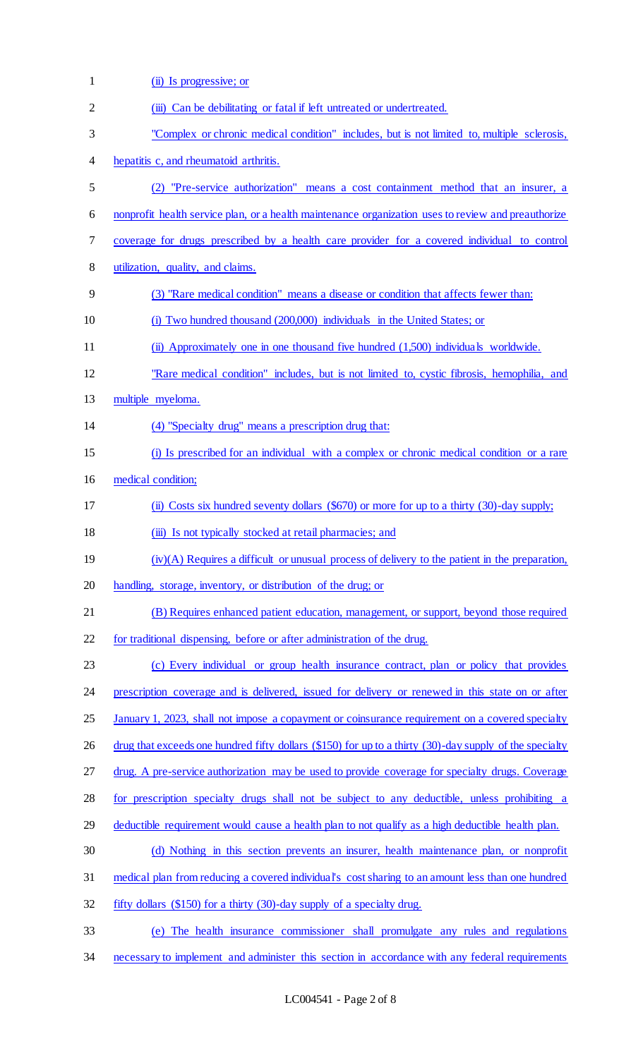| $\mathbf{1}$ | (ii) Is progressive; or                                                                                 |
|--------------|---------------------------------------------------------------------------------------------------------|
| 2            | (iii) Can be debilitating or fatal if left untreated or undertreated.                                   |
| 3            | "Complex or chronic medical condition" includes, but is not limited to, multiple sclerosis,             |
| 4            | hepatitis c, and rheumatoid arthritis.                                                                  |
| 5            | (2) "Pre-service authorization" means a cost containment method that an insurer, a                      |
| 6            | nonprofit health service plan, or a health maintenance organization uses to review and preauthorize     |
| 7            | coverage for drugs prescribed by a health care provider for a covered individual to control             |
| 8            | utilization, quality, and claims.                                                                       |
| 9            | (3) "Rare medical condition" means a disease or condition that affects fewer than:                      |
| 10           | (i) Two hundred thousand (200,000) individuals in the United States; or                                 |
| 11           | (ii) Approximately one in one thousand five hundred (1,500) individuals worldwide.                      |
| 12           | "Rare medical condition" includes, but is not limited to, cystic fibrosis, hemophilia, and              |
| 13           | multiple myeloma.                                                                                       |
| 14           | (4) "Specialty drug" means a prescription drug that:                                                    |
| 15           | (i) Is prescribed for an individual with a complex or chronic medical condition or a rare               |
| 16           | medical condition;                                                                                      |
| 17           | (ii) Costs six hundred seventy dollars (\$670) or more for up to a thirty (30)-day supply;              |
| 18           | (iii) Is not typically stocked at retail pharmacies; and                                                |
| 19           | $(iv)(A)$ Requires a difficult or unusual process of delivery to the patient in the preparation,        |
| 20           | handling, storage, inventory, or distribution of the drug; or                                           |
| 21           | (B) Requires enhanced patient education, management, or support, beyond those required                  |
| 22           | for traditional dispensing, before or after administration of the drug.                                 |
| 23           | (c) Every individual or group health insurance contract, plan or policy that provides                   |
| 24           | prescription coverage and is delivered, issued for delivery or renewed in this state on or after        |
| 25           | January 1, 2023, shall not impose a copayment or coinsurance requirement on a covered specialty         |
| 26           | drug that exceeds one hundred fifty dollars (\$150) for up to a thirty (30)-day supply of the specialty |
| 27           | drug. A pre-service authorization may be used to provide coverage for specialty drugs. Coverage         |
| 28           | for prescription specialty drugs shall not be subject to any deductible, unless prohibiting a           |
| 29           | deductible requirement would cause a health plan to not qualify as a high deductible health plan.       |
| 30           | (d) Nothing in this section prevents an insurer, health maintenance plan, or nonprofit                  |
| 31           | medical plan from reducing a covered individual's cost sharing to an amount less than one hundred       |
| 32           | fifty dollars (\$150) for a thirty (30)-day supply of a specialty drug.                                 |
| 33           | (e) The health insurance commissioner shall promulgate any rules and regulations                        |

34 necessary to implement and administer this section in accordance with any federal requirements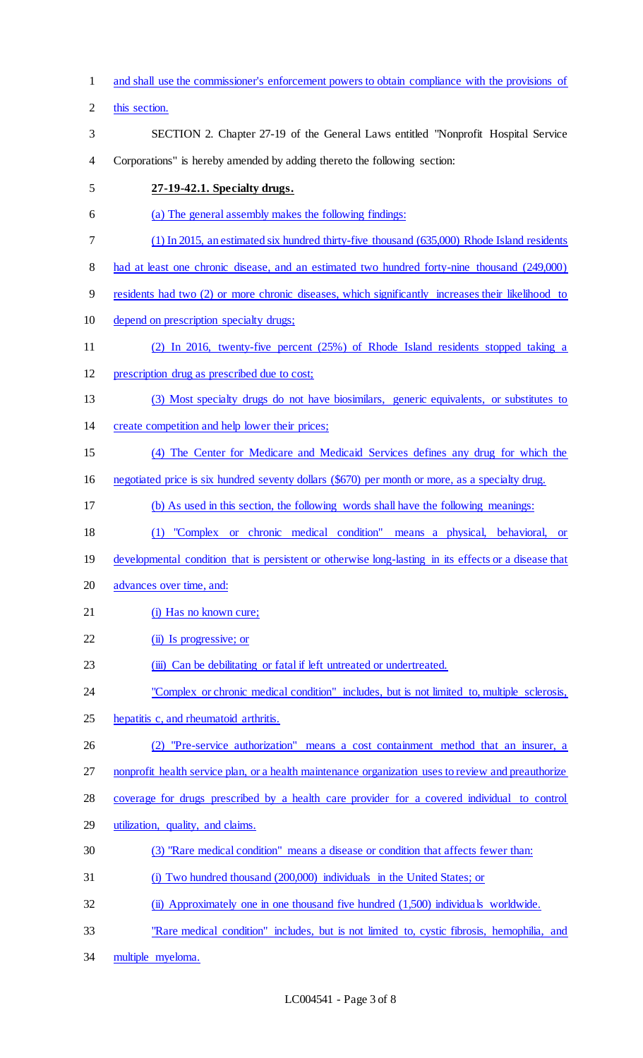and shall use the commissioner's enforcement powers to obtain compliance with the provisions of this section. SECTION 2. Chapter 27-19 of the General Laws entitled "Nonprofit Hospital Service Corporations" is hereby amended by adding thereto the following section: **27-19-42.1. Specialty drugs.**  (a) The general assembly makes the following findings: (1) In 2015, an estimated six hundred thirty-five thousand (635,000) Rhode Island residents had at least one chronic disease, and an estimated two hundred forty-nine thousand (249,000) residents had two (2) or more chronic diseases, which significantly increases their likelihood to depend on prescription specialty drugs; (2) In 2016, twenty-five percent (25%) of Rhode Island residents stopped taking a prescription drug as prescribed due to cost; (3) Most specialty drugs do not have biosimilars, generic equivalents, or substitutes to create competition and help lower their prices; (4) The Center for Medicare and Medicaid Services defines any drug for which the negotiated price is six hundred seventy dollars (\$670) per month or more, as a specialty drug. (b) As used in this section, the following words shall have the following meanings: (1) "Complex or chronic medical condition" means a physical, behavioral, or 19 developmental condition that is persistent or otherwise long-lasting in its effects or a disease that advances over time, and: 21 (i) Has no known cure; 22 (ii) Is progressive; or 23 (iii) Can be debilitating or fatal if left untreated or undertreated. "Complex or chronic medical condition" includes, but is not limited to, multiple sclerosis, hepatitis c, and rheumatoid arthritis. (2) "Pre-service authorization" means a cost containment method that an insurer, a nonprofit health service plan, or a health maintenance organization uses to review and preauthorize coverage for drugs prescribed by a health care provider for a covered individual to control utilization, quality, and claims. (3) "Rare medical condition" means a disease or condition that affects fewer than: (i) Two hundred thousand (200,000) individuals in the United States; or (ii) Approximately one in one thousand five hundred (1,500) individuals worldwide. "Rare medical condition" includes, but is not limited to, cystic fibrosis, hemophilia, and multiple myeloma.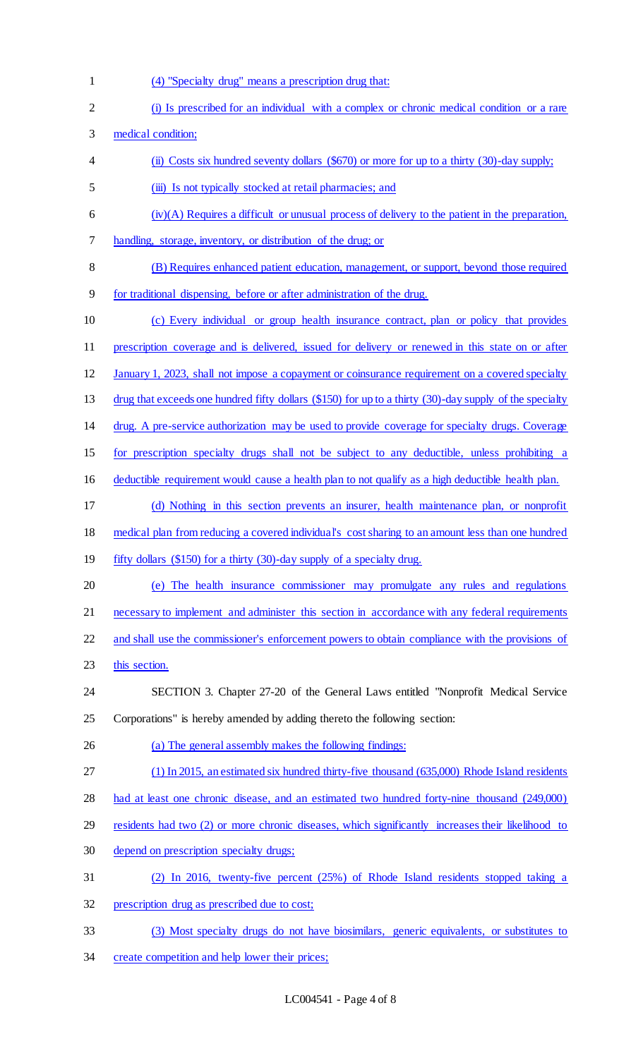- (4) "Specialty drug" means a prescription drug that:
- (i) Is prescribed for an individual with a complex or chronic medical condition or a rare medical condition; (ii) Costs six hundred seventy dollars (\$670) or more for up to a thirty (30)-day supply; (iii) Is not typically stocked at retail pharmacies; and (iv)(A) Requires a difficult or unusual process of delivery to the patient in the preparation, handling, storage, inventory, or distribution of the drug; or (B) Requires enhanced patient education, management, or support, beyond those required for traditional dispensing, before or after administration of the drug. (c) Every individual or group health insurance contract, plan or policy that provides prescription coverage and is delivered, issued for delivery or renewed in this state on or after January 1, 2023, shall not impose a copayment or coinsurance requirement on a covered specialty 13 drug that exceeds one hundred fifty dollars (\$150) for up to a thirty (30)-day supply of the specialty drug. A pre-service authorization may be used to provide coverage for specialty drugs. Coverage for prescription specialty drugs shall not be subject to any deductible, unless prohibiting a deductible requirement would cause a health plan to not qualify as a high deductible health plan. (d) Nothing in this section prevents an insurer, health maintenance plan, or nonprofit medical plan from reducing a covered individual's cost sharing to an amount less than one hundred 19 fifty dollars (\$150) for a thirty (30)-day supply of a specialty drug. (e) The health insurance commissioner may promulgate any rules and regulations 21 necessary to implement and administer this section in accordance with any federal requirements and shall use the commissioner's enforcement powers to obtain compliance with the provisions of 23 this section. SECTION 3. Chapter 27-20 of the General Laws entitled "Nonprofit Medical Service Corporations" is hereby amended by adding thereto the following section: (a) The general assembly makes the following findings: (1) In 2015, an estimated six hundred thirty-five thousand (635,000) Rhode Island residents had at least one chronic disease, and an estimated two hundred forty-nine thousand (249,000) residents had two (2) or more chronic diseases, which significantly increases their likelihood to depend on prescription specialty drugs; (2) In 2016, twenty-five percent (25%) of Rhode Island residents stopped taking a prescription drug as prescribed due to cost; (3) Most specialty drugs do not have biosimilars, generic equivalents, or substitutes to create competition and help lower their prices;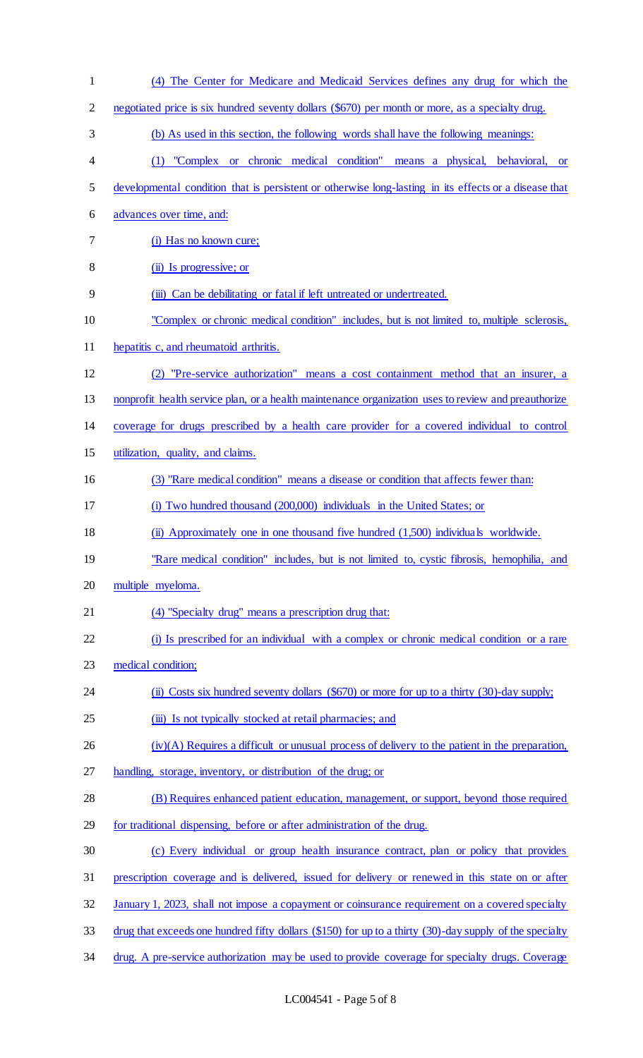| $\mathbf{1}$   | (4) The Center for Medicare and Medicaid Services defines any drug for which the                        |
|----------------|---------------------------------------------------------------------------------------------------------|
| $\overline{2}$ | negotiated price is six hundred seventy dollars (\$670) per month or more, as a specialty drug.         |
| 3              | (b) As used in this section, the following words shall have the following meanings:                     |
| $\overline{4}$ | (1) "Complex or chronic medical condition" means a physical, behavioral,<br><b>or</b>                   |
| 5              | developmental condition that is persistent or otherwise long-lasting in its effects or a disease that   |
| 6              | advances over time, and:                                                                                |
| $\tau$         | (i) Has no known cure;                                                                                  |
| 8              | (ii) Is progressive; or                                                                                 |
| 9              | (iii) Can be debilitating or fatal if left untreated or undertreated.                                   |
| 10             | "Complex or chronic medical condition" includes, but is not limited to, multiple sclerosis,             |
| 11             | hepatitis c, and rheumatoid arthritis.                                                                  |
| 12             | "Pre-service authorization" means a cost containment method that an insurer, a<br>(2)                   |
| 13             | nonprofit health service plan, or a health maintenance organization uses to review and preauthorize     |
| 14             | coverage for drugs prescribed by a health care provider for a covered individual to control             |
| 15             | utilization, quality, and claims.                                                                       |
| 16             | (3) "Rare medical condition" means a disease or condition that affects fewer than:                      |
| 17             | (i) Two hundred thousand (200,000) individuals in the United States; or                                 |
| 18             | (ii) Approximately one in one thousand five hundred (1,500) individuals worldwide.                      |
| 19             | "Rare medical condition" includes, but is not limited to, cystic fibrosis, hemophilia, and              |
| 20             | multiple myeloma.                                                                                       |
| 21             | (4) "Specialty drug" means a prescription drug that:                                                    |
| 22             | (i) Is prescribed for an individual with a complex or chronic medical condition or a rare               |
| 23             | medical condition;                                                                                      |
| 24             | (ii) Costs six hundred seventy dollars (\$670) or more for up to a thirty (30)-day supply;              |
| 25             | (iii) Is not typically stocked at retail pharmacies; and                                                |
| 26             | $(iv)(A)$ Requires a difficult or unusual process of delivery to the patient in the preparation,        |
| 27             | handling, storage, inventory, or distribution of the drug; or                                           |
| 28             | (B) Requires enhanced patient education, management, or support, beyond those required                  |
| 29             | for traditional dispensing, before or after administration of the drug.                                 |
| 30             | (c) Every individual or group health insurance contract, plan or policy that provides                   |
| 31             | prescription coverage and is delivered, issued for delivery or renewed in this state on or after        |
| 32             | January 1, 2023, shall not impose a copayment or coinsurance requirement on a covered specialty         |
| 33             | drug that exceeds one hundred fifty dollars (\$150) for up to a thirty (30)-day supply of the specialty |
| 34             | drug. A pre-service authorization may be used to provide coverage for specialty drugs. Coverage         |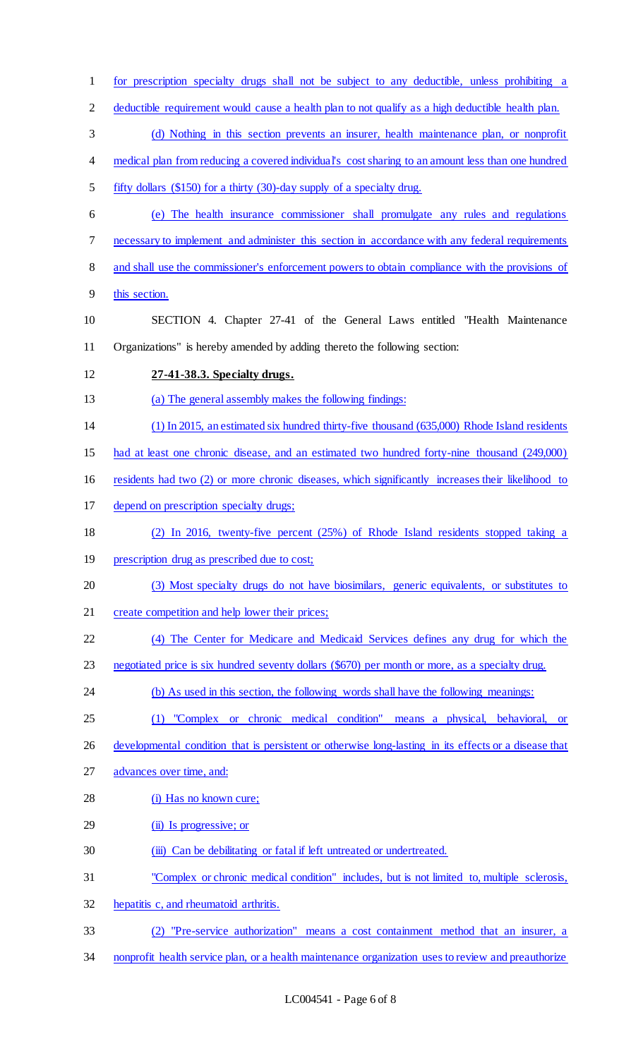for prescription specialty drugs shall not be subject to any deductible, unless prohibiting a deductible requirement would cause a health plan to not qualify as a high deductible health plan. (d) Nothing in this section prevents an insurer, health maintenance plan, or nonprofit 4 medical plan from reducing a covered individual's cost sharing to an amount less than one hundred fifty dollars (\$150) for a thirty (30)-day supply of a specialty drug. (e) The health insurance commissioner shall promulgate any rules and regulations necessary to implement and administer this section in accordance with any federal requirements and shall use the commissioner's enforcement powers to obtain compliance with the provisions of this section. SECTION 4. Chapter 27-41 of the General Laws entitled "Health Maintenance Organizations" is hereby amended by adding thereto the following section: **27-41-38.3. Specialty drugs.**  (a) The general assembly makes the following findings: (1) In 2015, an estimated six hundred thirty-five thousand (635,000) Rhode Island residents had at least one chronic disease, and an estimated two hundred forty-nine thousand (249,000) residents had two (2) or more chronic diseases, which significantly increases their likelihood to depend on prescription specialty drugs; (2) In 2016, twenty-five percent (25%) of Rhode Island residents stopped taking a prescription drug as prescribed due to cost; (3) Most specialty drugs do not have biosimilars, generic equivalents, or substitutes to 21 create competition and help lower their prices; (4) The Center for Medicare and Medicaid Services defines any drug for which the negotiated price is six hundred seventy dollars (\$670) per month or more, as a specialty drug. (b) As used in this section, the following words shall have the following meanings: (1) "Complex or chronic medical condition" means a physical, behavioral, or developmental condition that is persistent or otherwise long-lasting in its effects or a disease that advances over time, and: 28 (i) Has no known cure; (ii) Is progressive; or (iii) Can be debilitating or fatal if left untreated or undertreated. "Complex or chronic medical condition" includes, but is not limited to, multiple sclerosis, hepatitis c, and rheumatoid arthritis. (2) "Pre-service authorization" means a cost containment method that an insurer, a nonprofit health service plan, or a health maintenance organization uses to review and preauthorize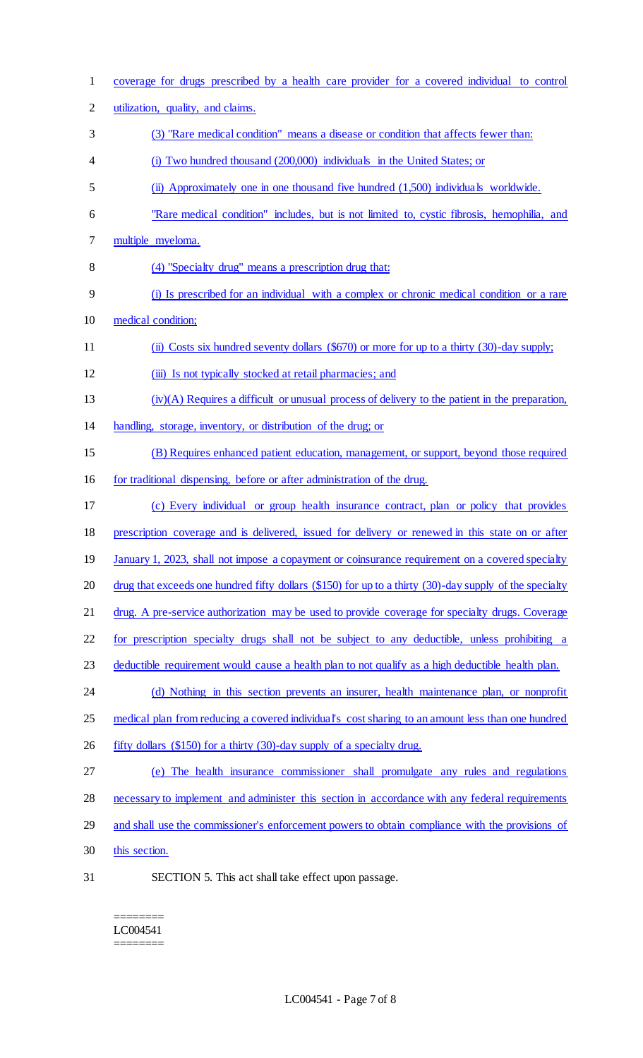| $\mathbf{1}$   | coverage for drugs prescribed by a health care provider for a covered individual to control             |
|----------------|---------------------------------------------------------------------------------------------------------|
| $\overline{2}$ | utilization, quality, and claims.                                                                       |
| 3              | (3) "Rare medical condition" means a disease or condition that affects fewer than:                      |
| 4              | (i) Two hundred thousand (200,000) individuals in the United States; or                                 |
| 5              | (ii) Approximately one in one thousand five hundred (1,500) individuals worldwide.                      |
| 6              | "Rare medical condition" includes, but is not limited to, cystic fibrosis, hemophilia, and              |
| 7              | multiple myeloma.                                                                                       |
| 8              | (4) "Specialty drug" means a prescription drug that:                                                    |
| 9              | (i) Is prescribed for an individual with a complex or chronic medical condition or a rare               |
| 10             | medical condition;                                                                                      |
| 11             | (ii) Costs six hundred seventy dollars (\$670) or more for up to a thirty (30)-day supply;              |
| 12             | (iii) Is not typically stocked at retail pharmacies; and                                                |
| 13             | $(iv)(A)$ Requires a difficult or unusual process of delivery to the patient in the preparation,        |
| 14             | handling, storage, inventory, or distribution of the drug; or                                           |
| 15             | (B) Requires enhanced patient education, management, or support, beyond those required                  |
| 16             | for traditional dispensing, before or after administration of the drug.                                 |
| 17             | (c) Every individual or group health insurance contract, plan or policy that provides                   |
| 18             | prescription coverage and is delivered, issued for delivery or renewed in this state on or after        |
| 19             | January 1, 2023, shall not impose a copayment or coinsurance requirement on a covered specialty         |
| 20             | drug that exceeds one hundred fifty dollars (\$150) for up to a thirty (30)-day supply of the specialty |
| 21             | drug. A pre-service authorization may be used to provide coverage for specialty drugs. Coverage         |
| 22             | for prescription specialty drugs shall not be subject to any deductible, unless prohibiting a           |
| 23             | deductible requirement would cause a health plan to not qualify as a high deductible health plan.       |
| 24             | (d) Nothing in this section prevents an insurer, health maintenance plan, or nonprofit                  |
| 25             | medical plan from reducing a covered individual's cost sharing to an amount less than one hundred       |
| 26             | fifty dollars (\$150) for a thirty (30)-day supply of a specialty drug.                                 |
| 27             | The health insurance commissioner shall promulgate any rules and regulations<br>(e)                     |
| 28             | necessary to implement and administer this section in accordance with any federal requirements          |
| 29             | and shall use the commissioner's enforcement powers to obtain compliance with the provisions of         |
| 30             | this section.                                                                                           |
| 31             | SECTION 5. This act shall take effect upon passage.                                                     |

 $=$ LC004541  $=$